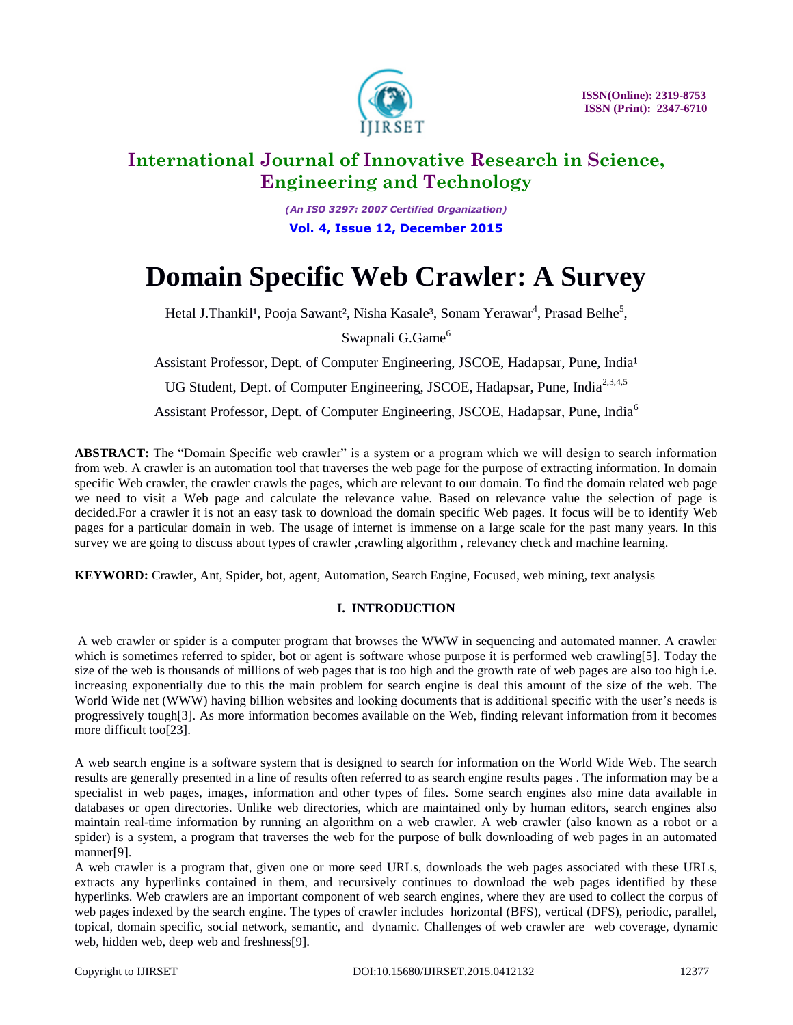

*(An ISO 3297: 2007 Certified Organization)* **Vol. 4, Issue 12, December 2015**

# **Domain Specific Web Crawler: A Survey**

Hetal J.Thankil<sup>1</sup>, Pooja Sawant<sup>2</sup>, Nisha Kasale<sup>3</sup>, Sonam Yerawar<sup>4</sup>, Prasad Belhe<sup>5</sup>,

Swapnali G.Game<sup>6</sup>

Assistant Professor, Dept. of Computer Engineering, JSCOE, Hadapsar, Pune, India<sup>1</sup>

UG Student, Dept. of Computer Engineering, JSCOE, Hadapsar, Pune, India<sup>2,3,4,5</sup>

Assistant Professor, Dept. of Computer Engineering, JSCOE, Hadapsar, Pune, India<sup>6</sup>

**ABSTRACT:** The "Domain Specific web crawler" is a system or a program which we will design to search information from web. A crawler is an automation tool that traverses the web page for the purpose of extracting information. In domain specific Web crawler, the crawler crawls the pages, which are relevant to our domain. To find the domain related web page we need to visit a Web page and calculate the relevance value. Based on relevance value the selection of page is decided.For a crawler it is not an easy task to download the domain specific Web pages. It focus will be to identify Web pages for a particular domain in web. The usage of internet is immense on a large scale for the past many years. In this survey we are going to discuss about types of crawler, crawling algorithm, relevancy check and machine learning.

**KEYWORD:** Crawler, Ant, Spider, bot, agent, Automation, Search Engine, Focused, web mining, text analysis

### **I. INTRODUCTION**

A web crawler or spider is a computer program that browses the WWW in sequencing and automated manner. A crawler which is sometimes referred to spider, bot or agent is software whose purpose it is performed web crawling[5]. Today the size of the web is thousands of millions of web pages that is too high and the growth rate of web pages are also too high i.e. increasing exponentially due to this the main problem for search engine is deal this amount of the size of the web. The World Wide net (WWW) having billion websites and looking documents that is additional specific with the user's needs is progressively tough[3]. As more information becomes available on the Web, finding relevant information from it becomes more difficult too[23].

A web search engine is a software system that is designed to search for information on the World Wide Web. The search results are generally presented in a line of results often referred to as search engine results pages . The information may be a specialist in web pages, images, information and other types of files. Some search engines also mine data available in databases or open directories. Unlike web directories, which are maintained only by human editors, search engines also maintain real-time information by running an algorithm on a web crawler. A web crawler (also known as a robot or a spider) is a system, a program that traverses the web for the purpose of bulk downloading of web pages in an automated manner[9].

A web crawler is a program that, given one or more seed URLs, downloads the web pages associated with these URLs, extracts any hyperlinks contained in them, and recursively continues to download the web pages identified by these hyperlinks. Web crawlers are an important component of web search engines, where they are used to collect the corpus of web pages indexed by the search engine. The types of crawler includes horizontal (BFS), vertical (DFS), periodic, parallel, topical, domain specific, social network, semantic, and dynamic. Challenges of web crawler are web coverage, dynamic web, hidden web, deep web and freshness[9].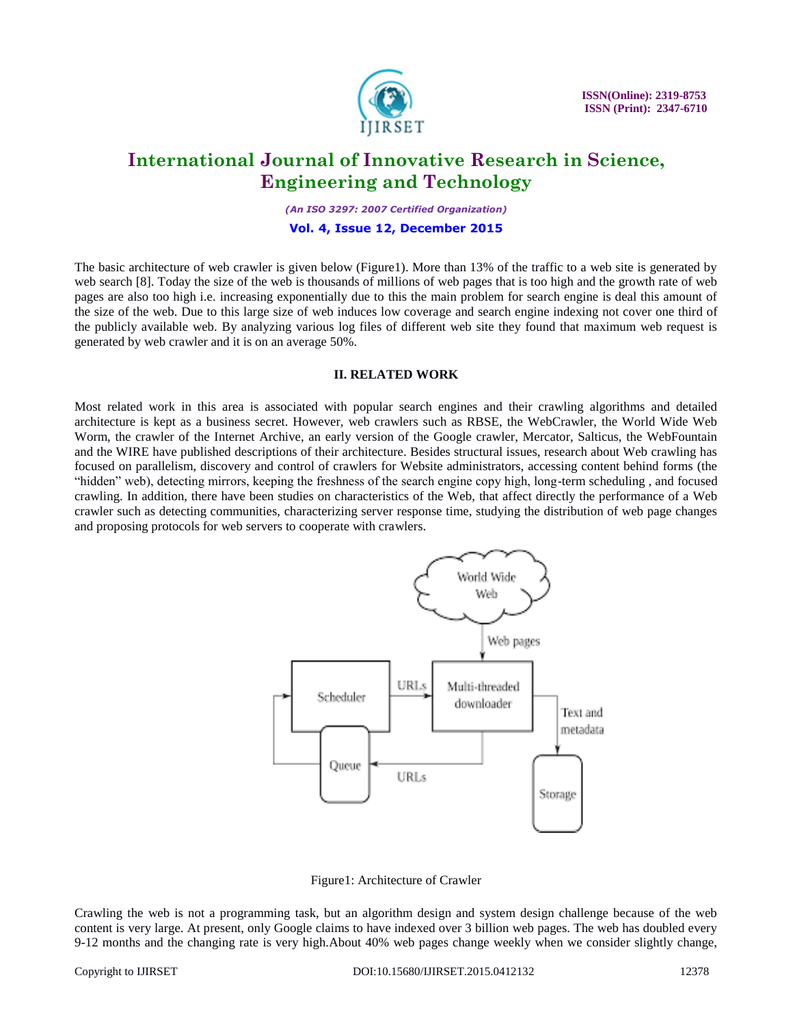

 **ISSN(Online): 2319-8753 ISSN (Print): 2347-6710**

### **International Journal of Innovative Research in Science, Engineering and Technology**

*(An ISO 3297: 2007 Certified Organization)*

#### **Vol. 4, Issue 12, December 2015**

The basic architecture of web crawler is given below (Figure1). More than 13% of the traffic to a web site is generated by web search [8]. Today the size of the web is thousands of millions of web pages that is too high and the growth rate of web pages are also too high i.e. increasing exponentially due to this the main problem for search engine is deal this amount of the size of the web. Due to this large size of web induces low coverage and search engine indexing not cover one third of the publicly available web. By analyzing various log files of different web site they found that maximum web request is generated by web crawler and it is on an average 50%.

#### **II. RELATED WORK**

Most related work in this area is associated with popular search engines and their crawling algorithms and detailed architecture is kept as a business secret. However, web crawlers such as RBSE, the WebCrawler, the World Wide Web Worm, the crawler of the Internet Archive, an early version of the Google crawler, Mercator, Salticus, the WebFountain and the WIRE have published descriptions of their architecture. Besides structural issues, research about Web crawling has focused on parallelism, discovery and control of crawlers for Website administrators, accessing content behind forms (the ―hidden‖ web), detecting mirrors, keeping the freshness of the search engine copy high, long-term scheduling , and focused crawling. In addition, there have been studies on characteristics of the Web, that affect directly the performance of a Web crawler such as detecting communities, characterizing server response time, studying the distribution of web page changes and proposing protocols for web servers to cooperate with crawlers.



Figure1: Architecture of Crawler

Crawling the web is not a programming task, but an algorithm design and system design challenge because of the web content is very large. At present, only Google claims to have indexed over 3 billion web pages. The web has doubled every 9-12 months and the changing rate is very high.About 40% web pages change weekly when we consider slightly change,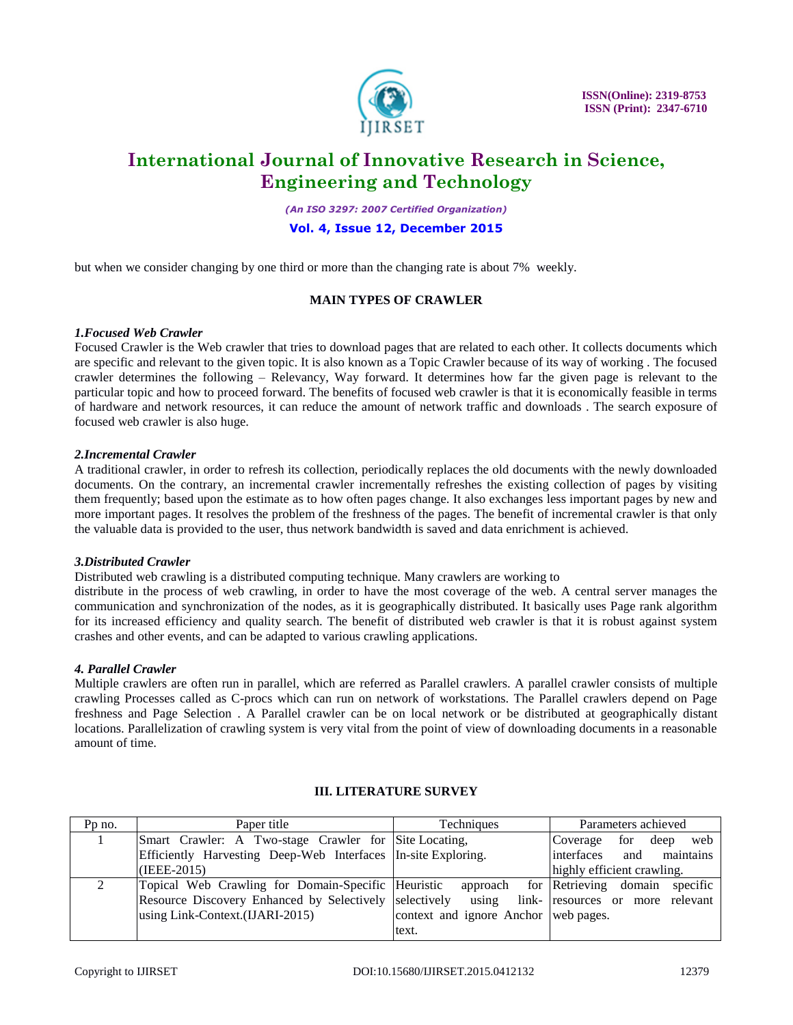

 **ISSN(Online): 2319-8753 ISSN (Print): 2347-6710**

## **International Journal of Innovative Research in Science, Engineering and Technology**

*(An ISO 3297: 2007 Certified Organization)*

#### **Vol. 4, Issue 12, December 2015**

but when we consider changing by one third or more than the changing rate is about 7% weekly.

#### **MAIN TYPES OF CRAWLER**

#### *1.Focused Web Crawler*

Focused Crawler is the Web crawler that tries to download pages that are related to each other. It collects documents which are specific and relevant to the given topic. It is also known as a Topic Crawler because of its way of working . The focused crawler determines the following – Relevancy, Way forward. It determines how far the given page is relevant to the particular topic and how to proceed forward. The benefits of focused web crawler is that it is economically feasible in terms of hardware and network resources, it can reduce the amount of network traffic and downloads . The search exposure of focused web crawler is also huge.

#### *2.Incremental Crawler*

A traditional crawler, in order to refresh its collection, periodically replaces the old documents with the newly downloaded documents. On the contrary, an incremental crawler incrementally refreshes the existing collection of pages by visiting them frequently; based upon the estimate as to how often pages change. It also exchanges less important pages by new and more important pages. It resolves the problem of the freshness of the pages. The benefit of incremental crawler is that only the valuable data is provided to the user, thus network bandwidth is saved and data enrichment is achieved.

#### *3.Distributed Crawler*

Distributed web crawling is a distributed computing technique. Many crawlers are working to

distribute in the process of web crawling, in order to have the most coverage of the web. A central server manages the communication and synchronization of the nodes, as it is geographically distributed. It basically uses Page rank algorithm for its increased efficiency and quality search. The benefit of distributed web crawler is that it is robust against system crashes and other events, and can be adapted to various crawling applications.

#### *4. Parallel Crawler*

Multiple crawlers are often run in parallel, which are referred as Parallel crawlers. A parallel crawler consists of multiple crawling Processes called as C-procs which can run on network of workstations. The Parallel crawlers depend on Page freshness and Page Selection . A Parallel crawler can be on local network or be distributed at geographically distant locations. Parallelization of crawling system is very vital from the point of view of downloading documents in a reasonable amount of time.

| Pp no. | Paper title                                                                                   | Techniques                           | Parameters achieved                     |
|--------|-----------------------------------------------------------------------------------------------|--------------------------------------|-----------------------------------------|
|        | Smart Crawler: A Two-stage Crawler for Site Locating,                                         |                                      | for<br>deep<br>web<br>Coverage          |
|        | Efficiently Harvesting Deep-Web Interfaces In-site Exploring.                                 |                                      | and<br>maintains<br>interfaces          |
|        | $(IEEE-2015)$                                                                                 |                                      | highly efficient crawling.              |
|        | Topical Web Crawling for Domain-Specific Heuristic                                            |                                      | approach for Retrieving domain specific |
|        | Resource Discovery Enhanced by Selectively selectively using link- resources or more relevant |                                      |                                         |
|        | using Link-Context.(IJARI-2015)                                                               | context and ignore Anchor web pages. |                                         |
|        |                                                                                               | text.                                |                                         |

#### **III. LITERATURE SURVEY**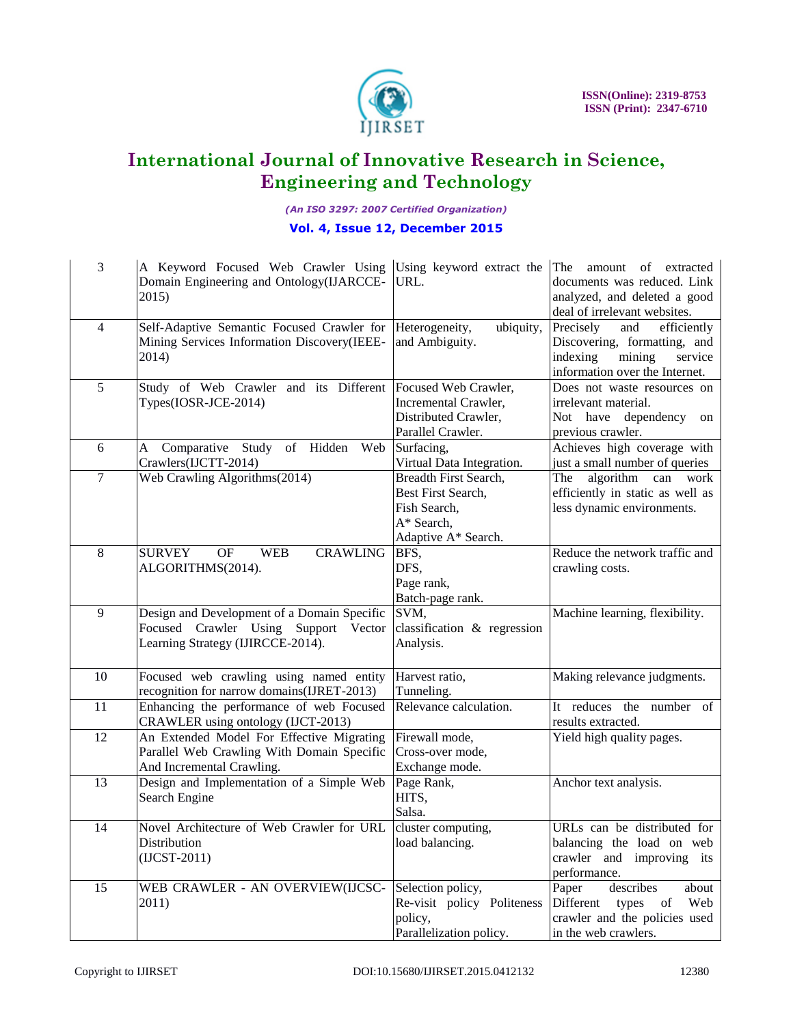

*(An ISO 3297: 2007 Certified Organization)*

### **Vol. 4, Issue 12, December 2015**

| 3                | A Keyword Focused Web Crawler Using Using keyword extract the<br>Domain Engineering and Ontology(IJARCCE-<br>2015)          | URL.                                                                                             | The<br>amount of extracted<br>documents was reduced. Link<br>analyzed, and deleted a good<br>deal of irrelevant websites.          |
|------------------|-----------------------------------------------------------------------------------------------------------------------------|--------------------------------------------------------------------------------------------------|------------------------------------------------------------------------------------------------------------------------------------|
| $\overline{4}$   | Self-Adaptive Semantic Focused Crawler for Heterogeneity,<br>Mining Services Information Discovery(IEEE-<br>2014)           | ubiquity,<br>and Ambiguity.                                                                      | Precisely<br>efficiently<br>and<br>Discovering, formatting, and<br>indexing<br>mining<br>service<br>information over the Internet. |
| 5                | Study of Web Crawler and its Different Focused Web Crawler,<br>Types(IOSR-JCE-2014)                                         | Incremental Crawler,<br>Distributed Crawler,<br>Parallel Crawler.                                | Does not waste resources on<br>irrelevant material.<br>Not have dependency<br>on<br>previous crawler.                              |
| 6                | Comparative Study of Hidden Web Surfacing,<br>A<br>Crawlers(IJCTT-2014)                                                     | Virtual Data Integration.                                                                        | Achieves high coverage with<br>just a small number of queries                                                                      |
| $\boldsymbol{7}$ | Web Crawling Algorithms(2014)                                                                                               | Breadth First Search,<br>Best First Search,<br>Fish Search,<br>A* Search,<br>Adaptive A* Search. | The<br>algorithm<br>work<br>can<br>efficiently in static as well as<br>less dynamic environments.                                  |
| $\,8\,$          | <b>CRAWLING</b><br><b>SURVEY</b><br>OF<br><b>WEB</b><br>ALGORITHMS(2014).                                                   | BFS,<br>DFS,<br>Page rank,<br>Batch-page rank.                                                   | Reduce the network traffic and<br>crawling costs.                                                                                  |
| 9                | Design and Development of a Domain Specific<br>Focused Crawler Using Support<br>Vector<br>Learning Strategy (IJIRCCE-2014). | SVM,<br>classification & regression<br>Analysis.                                                 | Machine learning, flexibility.                                                                                                     |
| $10\,$           | Focused web crawling using named entity<br>recognition for narrow domains(IJRET-2013)                                       | Harvest ratio,<br>Tunneling.                                                                     | Making relevance judgments.                                                                                                        |
| 11               | Enhancing the performance of web Focused<br>CRAWLER using ontology (IJCT-2013)                                              | Relevance calculation.                                                                           | It reduces the number of<br>results extracted.                                                                                     |
| 12               | An Extended Model For Effective Migrating<br>Parallel Web Crawling With Domain Specific<br>And Incremental Crawling.        | Firewall mode,<br>Cross-over mode,<br>Exchange mode.                                             | Yield high quality pages.                                                                                                          |
| 13               | Design and Implementation of a Simple Web<br>Search Engine                                                                  | Page Rank,<br>HITS,<br>Salsa.                                                                    | Anchor text analysis.                                                                                                              |
| 14               | Novel Architecture of Web Crawler for URL<br>Distribution<br>$(ICST-2011)$                                                  | cluster computing,<br>load balancing.                                                            | URLs can be distributed for<br>balancing the load on web<br>crawler and improving its<br>performance.                              |
| 15               | WEB CRAWLER - AN OVERVIEW(IJCSC-<br>2011)                                                                                   | Selection policy,<br>Re-visit policy Politeness<br>policy,<br>Parallelization policy.            | describes<br>Paper<br>about<br>Different<br>types<br>Web<br>of<br>crawler and the policies used<br>in the web crawlers.            |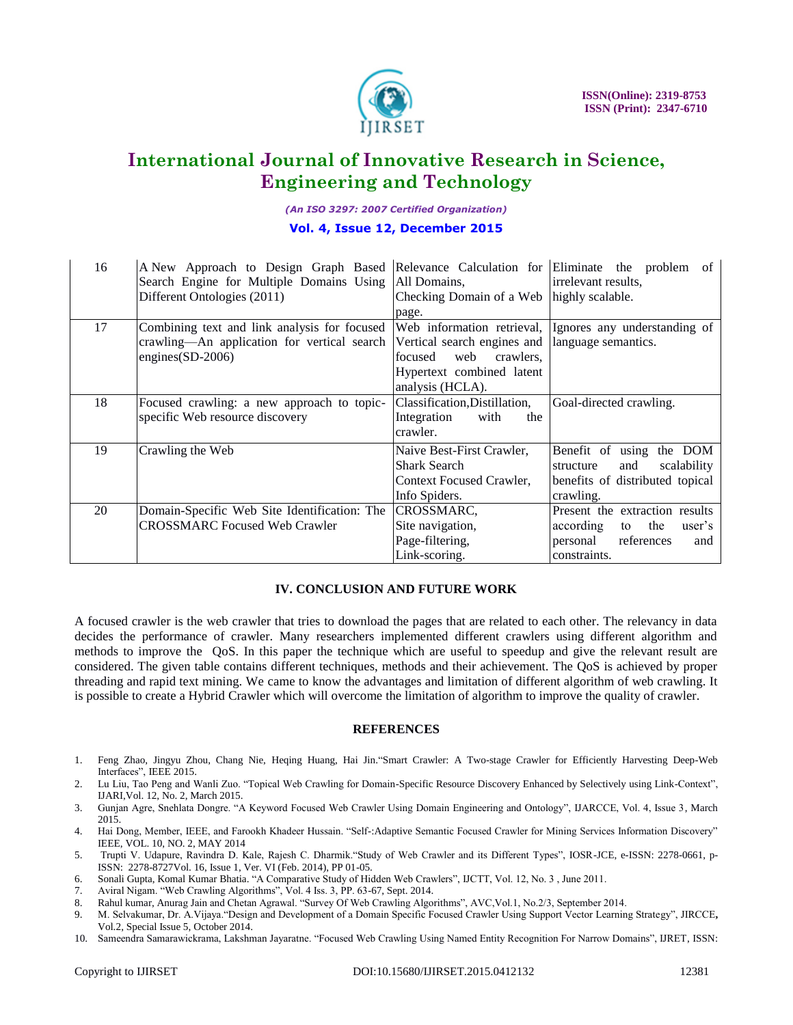

*(An ISO 3297: 2007 Certified Organization)*

#### **Vol. 4, Issue 12, December 2015**

| 16 | A New Approach to Design Graph Based Relevance Calculation for Eliminate the problem<br>Search Engine for Multiple Domains Using All Domains,<br>Different Ontologies (2011)                                            | Checking Domain of a Web   highly scalable.<br>page.                                   | of<br>irrelevant results,                                                                                        |
|----|-------------------------------------------------------------------------------------------------------------------------------------------------------------------------------------------------------------------------|----------------------------------------------------------------------------------------|------------------------------------------------------------------------------------------------------------------|
| 17 | Combining text and link analysis for focused Web information retrieval, Ignores any understanding of<br>crawling—An application for vertical search Vertical search engines and language semantics.<br>engines(SD-2006) | web<br>crawlers.<br><b>focused</b><br>Hypertext combined latent<br>analysis (HCLA).    |                                                                                                                  |
| 18 | Focused crawling: a new approach to topic-<br>specific Web resource discovery                                                                                                                                           | Classification, Distillation,<br>Integration<br>with<br>the<br>crawler.                | Goal-directed crawling.                                                                                          |
| 19 | Crawling the Web                                                                                                                                                                                                        | Naive Best-First Crawler,<br>Shark Search<br>Context Focused Crawler,<br>Info Spiders. | Benefit of using the DOM<br>scalability<br>and<br>structure<br>benefits of distributed topical<br>crawling.      |
| 20 | Domain-Specific Web Site Identification: The<br><b>CROSSMARC Focused Web Crawler</b>                                                                                                                                    | CROSSMARC,<br>Site navigation,<br>Page-filtering,<br>Link-scoring.                     | Present the extraction results<br>according<br>the<br>to<br>user's<br>personal references<br>and<br>constraints. |

#### **IV. CONCLUSION AND FUTURE WORK**

A focused crawler is the web crawler that tries to download the pages that are related to each other. The relevancy in data decides the performance of crawler. Many researchers implemented different crawlers using different algorithm and methods to improve the QoS. In this paper the technique which are useful to speedup and give the relevant result are considered. The given table contains different techniques, methods and their achievement. The QoS is achieved by proper threading and rapid text mining. We came to know the advantages and limitation of different algorithm of web crawling. It is possible to create a Hybrid Crawler which will overcome the limitation of algorithm to improve the quality of crawler.

#### **REFERENCES**

- 1. Feng Zhao, Jingyu Zhou, Chang Nie, Heqing Huang, Hai Jin. Smart Crawler: A Two-stage Crawler for Efficiently Harvesting Deep-Web Interfaces". IEEE 2015.
- 2. Lu Liu, Tao Peng and Wanli Zuo. "Topical Web Crawling for Domain-Specific Resource Discovery Enhanced by Selectively using Link-Context", IJARI,Vol. 12, No. 2, March 2015.
- 3. Gunjan Agre, Snehlata Dongre. "A Keyword Focused Web Crawler Using Domain Engineering and Ontology", IJARCCE, Vol. 4, Issue 3, March 2015.
- 4. Hai Dong, Member, IEEE, and Farookh Khadeer Hussain. "Self-:Adaptive Semantic Focused Crawler for Mining Services Information Discovery" IEEE, VOL. 10, NO. 2, MAY 2014
- 5. Trupti V. Udapure, Ravindra D. Kale, Rajesh C. Dharmik."Study of Web Crawler and its Different Types", IOSR-JCE, e-ISSN: 2278-0661, p-ISSN: 2278-8727Vol. 16, Issue 1, Ver. VI (Feb. 2014), PP 01-05.
- 6. Sonali Gupta, Komal Kumar Bhatia. "A Comparative Study of Hidden Web Crawlers", IJCTT, Vol. 12, No. 3, June 2011.
- 7. Aviral Nigam. "Web Crawling Algorithms", Vol. 4 Iss. 3, PP. 63-67, Sept. 2014.
- 8. Rahul kumar, Anurag Jain and Chetan Agrawal. "Survey Of Web Crawling Algorithms", AVC, Vol.1, No.2/3, September 2014.
- 9. M. Selvakumar, Dr. A.Vijaya."Design and Development of a Domain Specific Focused Crawler Using Support Vector Learning Strategy", JIRCCE, Vol.2, Special Issue 5, October 2014.
- 10. Sameendra Samarawickrama, Lakshman Jayaratne. "Focused Web Crawling Using Named Entity Recognition For Narrow Domains", IJRET, ISSN: